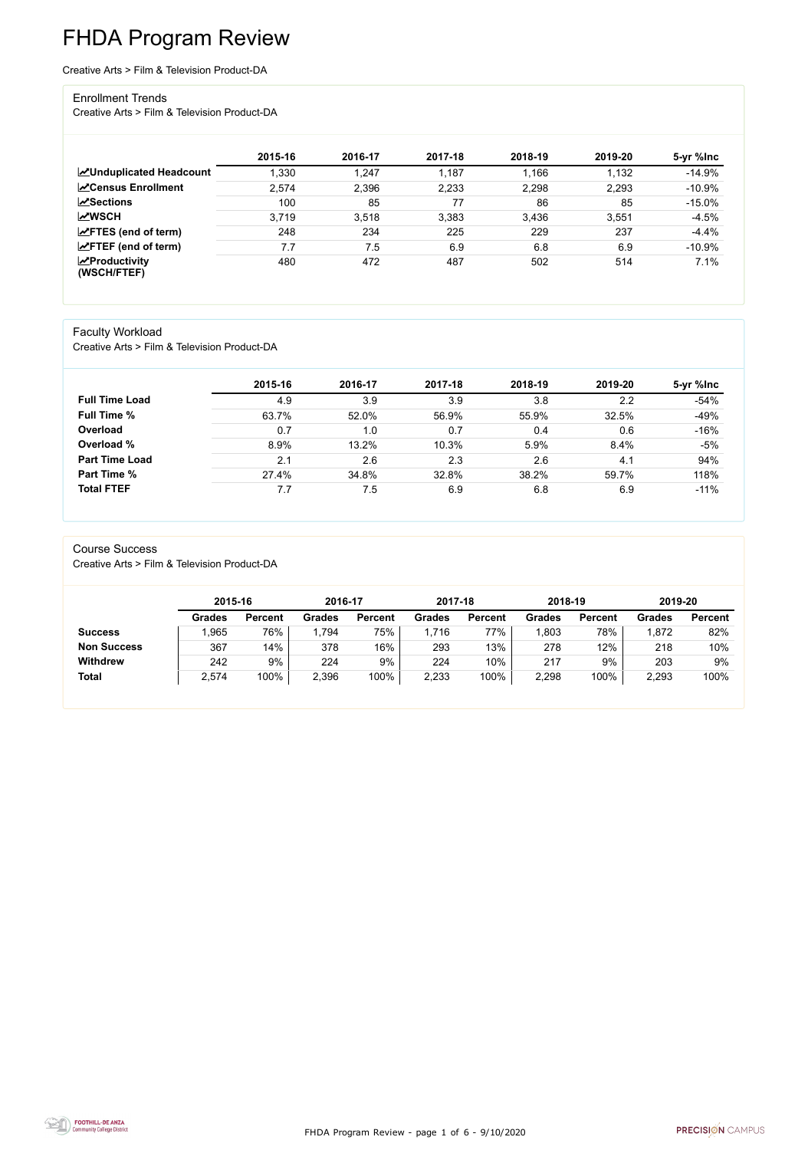FHDA Program Review - page 1 of 6 - 9/10/2020



# FHDA Program Review

Creative Arts > Film & Television Product-DA

#### Enrollment Trends

Creative Arts > Film & Television Product-DA

|                                                  | 2015-16 | 2016-17 | 2017-18 | 2018-19 | 2019-20 | 5-yr %lnc |
|--------------------------------------------------|---------|---------|---------|---------|---------|-----------|
| <b>ZUnduplicated Headcount</b>                   | 1,330   | 1,247   | 1,187   | 1,166   | 1,132   | $-14.9%$  |
| <b>ZCensus Enrollment</b>                        | 2,574   | 2,396   | 2,233   | 2,298   | 2,293   | $-10.9%$  |
| <b>ZSections</b>                                 | 100     | 85      | 77      | 86      | 85      | $-15.0%$  |
| <b>MWSCH</b>                                     | 3,719   | 3,518   | 3,383   | 3,436   | 3,551   | $-4.5%$   |
| $\angle$ FTES (end of term)                      | 248     | 234     | 225     | 229     | 237     | $-4.4%$   |
| $\angle$ FTEF (end of term)                      | 7.7     | 7.5     | 6.9     | 6.8     | 6.9     | $-10.9%$  |
| $\sqrt{\frac{1}{2}}$ Productivity<br>(WSCH/FTEF) | 480     | 472     | 487     | 502     | 514     | 7.1%      |

### Faculty Workload

Creative Arts > Film & Television Product-DA

|                       | 2015-16 | 2016-17 | 2017-18 | 2018-19 | 2019-20 | 5-yr %lnc |
|-----------------------|---------|---------|---------|---------|---------|-----------|
| <b>Full Time Load</b> | 4.9     | 3.9     | 3.9     | 3.8     | 2.2     | $-54%$    |
| <b>Full Time %</b>    | 63.7%   | 52.0%   | 56.9%   | 55.9%   | 32.5%   | $-49%$    |
| Overload              | 0.7     | 1.0     | 0.7     | 0.4     | 0.6     | $-16%$    |
| Overload %            | 8.9%    | 13.2%   | 10.3%   | 5.9%    | 8.4%    | $-5%$     |
| <b>Part Time Load</b> | 2.1     | 2.6     | 2.3     | 2.6     | 4.1     | 94%       |
| <b>Part Time %</b>    | 27.4%   | 34.8%   | 32.8%   | 38.2%   | 59.7%   | 118%      |
| <b>Total FTEF</b>     | 7.7     | 7.5     | 6.9     | 6.8     | 6.9     | $-11%$    |

#### Course Success

Creative Arts > Film & Television Product-DA

|                    | 2015-16       |                | 2016-17       |                | 2017-18 |                | 2018-19       |                | 2019-20       |                |
|--------------------|---------------|----------------|---------------|----------------|---------|----------------|---------------|----------------|---------------|----------------|
|                    | <b>Grades</b> | <b>Percent</b> | <b>Grades</b> | <b>Percent</b> | Grades  | <b>Percent</b> | <b>Grades</b> | <b>Percent</b> | <b>Grades</b> | <b>Percent</b> |
| <b>Success</b>     | ,965          | 76%            | .794          | 75%            | .716    | 77%            | ,803          | 78%            | 1,872         | 82%            |
| <b>Non Success</b> | 367           | 14%            | 378           | 16%            | 293     | 13%            | 278           | 12%            | 218           | 10%            |
| <b>Withdrew</b>    | 242           | 9%             | 224           | 9%             | 224     | 10%            | 217           | 9%             | 203           | 9%             |
| <b>Total</b>       | 2,574         | 100%           | 2,396         | 100%           | 2,233   | 100%           | 2,298         | 100%           | 2,293         | 100%           |

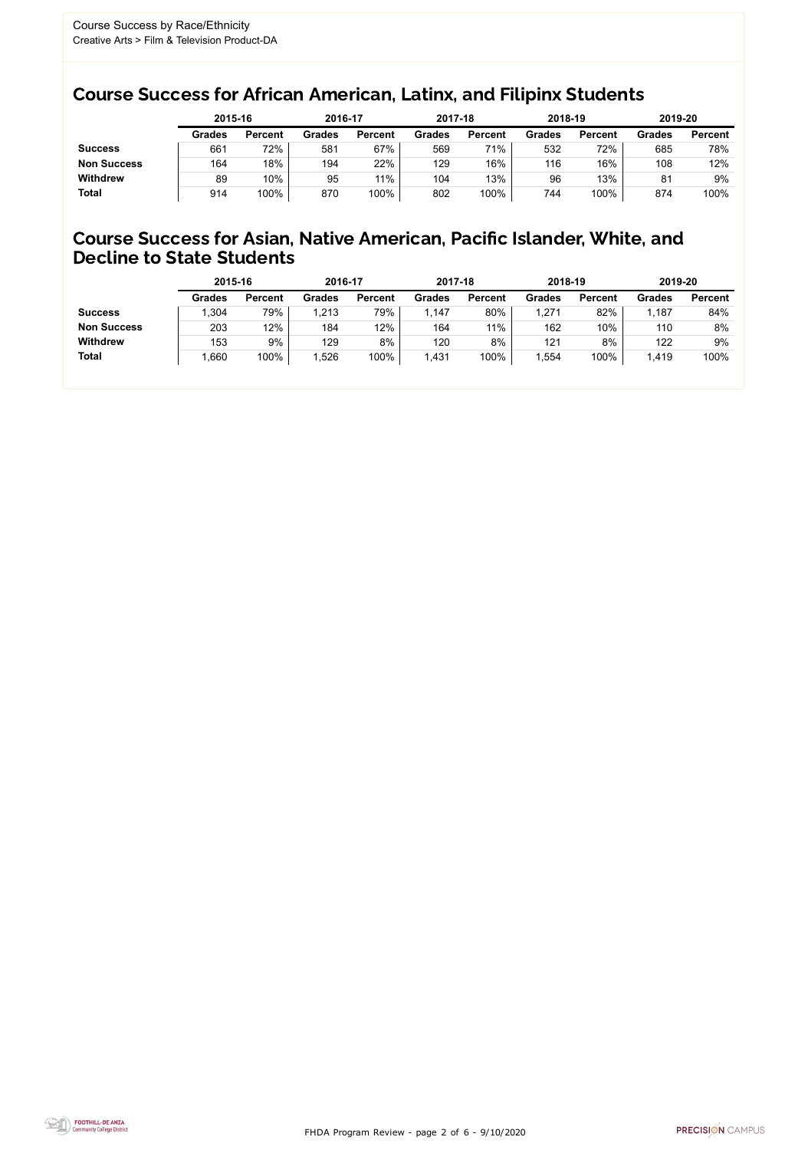FHDA Program Review - page 2 of 6 - 9/10/2020



### Course Success for African American, Latinx, and Filipinx Students

### Course Success for Asian, Native American, Pacific Islander, White, and Decline to State Students

|                    | 2015-16       |                | 2016-17       |                | 2017-18       |                | 2018-19       |                | 2019-20       |                |
|--------------------|---------------|----------------|---------------|----------------|---------------|----------------|---------------|----------------|---------------|----------------|
|                    | <b>Grades</b> | <b>Percent</b> | <b>Grades</b> | <b>Percent</b> | <b>Grades</b> | <b>Percent</b> | <b>Grades</b> | <b>Percent</b> | <b>Grades</b> | <b>Percent</b> |
| <b>Success</b>     | 661           | 72%            | 581           | 67%            | 569           | 71%            | 532           | 72%            | 685           | 78%            |
| <b>Non Success</b> | 164           | 18%            | 194           | 22%            | 129           | 16%            | 116           | 16%            | 108           | 12%            |
| <b>Withdrew</b>    | 89            | 10%            | 95            | 11%            | 104           | 13%            | 96            | 13%            | 81            | 9%             |
| <b>Total</b>       | 914           | 100%           | 870           | 100%           | 802           | 100%           | 744           | 100%           | 874           | 100%           |

|                    | 2015-16       |                | 2016-17       |                | 2017-18       |                | 2018-19       |                | 2019-20       |                |
|--------------------|---------------|----------------|---------------|----------------|---------------|----------------|---------------|----------------|---------------|----------------|
|                    | <b>Grades</b> | <b>Percent</b> | <b>Grades</b> | <b>Percent</b> | <b>Grades</b> | <b>Percent</b> | <b>Grades</b> | <b>Percent</b> | <b>Grades</b> | <b>Percent</b> |
| <b>Success</b>     | ,304          | 79%            | 1,213         | 79%            | 1.147         | 80%            | ,271          | 82%            | 1,187         | 84%            |
| <b>Non Success</b> | 203           | 12%            | 184           | 12%            | 164           | 11%            | 162           | 10%            | 110           | 8%             |
| <b>Withdrew</b>    | 153           | 9%             | 129           | 8%             | 120           | 8%             | 121           | 8%             | 122           | 9%             |
| <b>Total</b>       | ,660          | 100%           | 1,526         | 100%           | 1,431         | 100%           | ,554          | 100%           | 1,419         | 100%           |
|                    |               |                |               |                |               |                |               |                |               |                |

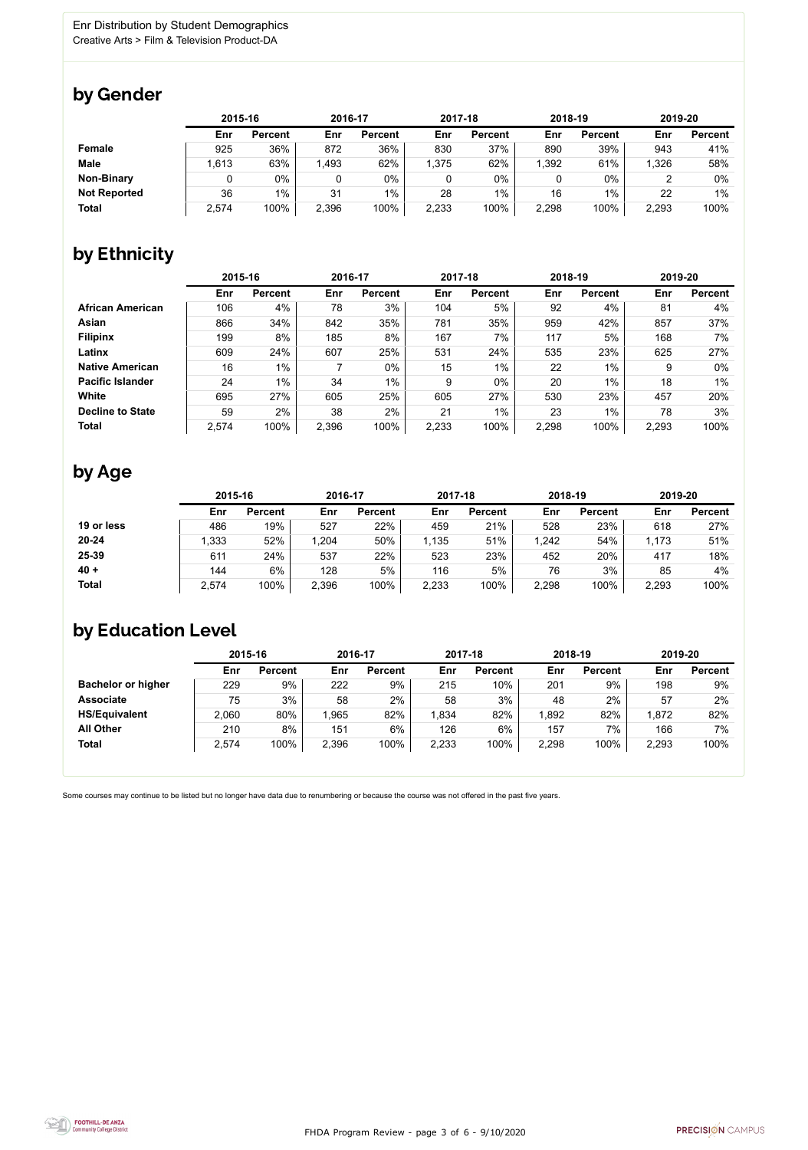FHDA Program Review - page 3 of 6 - 9/10/2020



Some courses may continue to be listed but no longer have data due to renumbering or because the course was not offered in the past five years.



### by Gender

|                     | 2015-16 |                |       | 2016-17        |       | 2017-18        |       | 2018-19        |       | 2019-20        |  |
|---------------------|---------|----------------|-------|----------------|-------|----------------|-------|----------------|-------|----------------|--|
|                     | Enr     | <b>Percent</b> | Enr   | <b>Percent</b> | Enr   | <b>Percent</b> | Enr   | <b>Percent</b> | Enr   | <b>Percent</b> |  |
| <b>Female</b>       | 925     | 36%            | 872   | 36%            | 830   | 37%            | 890   | 39%            | 943   | 41%            |  |
| <b>Male</b>         | .613    | 63%            | 1,493 | 62%            | 1,375 | 62%            | 1,392 | 61%            | 1,326 | 58%            |  |
| <b>Non-Binary</b>   |         | 0%             |       | $0\%$          |       | $0\%$          |       | $0\%$          |       | 0%             |  |
| <b>Not Reported</b> | 36      | $1\%$          | 31    | $1\%$          | 28    | 1%             | 16    | 1%             | 22    | 1%             |  |
| <b>Total</b>        | 2,574   | 100%           | 2,396 | 100%           | 2,233 | 100%           | 2,298 | 100%           | 2,293 | 100%           |  |

## by Ethnicity

|                         | 2015-16 |                |       | 2016-17        |       | 2017-18        | 2018-19 |                | 2019-20 |                |
|-------------------------|---------|----------------|-------|----------------|-------|----------------|---------|----------------|---------|----------------|
|                         | Enr     | <b>Percent</b> | Enr   | <b>Percent</b> | Enr   | <b>Percent</b> | Enr     | <b>Percent</b> | Enr     | <b>Percent</b> |
| <b>African American</b> | 106     | 4%             | 78    | 3%             | 104   | 5%             | 92      | 4%             | 81      | 4%             |
| Asian                   | 866     | 34%            | 842   | 35%            | 781   | 35%            | 959     | 42%            | 857     | 37%            |
| <b>Filipinx</b>         | 199     | 8%             | 185   | 8%             | 167   | 7%             | 117     | 5%             | 168     | 7%             |
| Latinx                  | 609     | 24%            | 607   | 25%            | 531   | 24%            | 535     | 23%            | 625     | 27%            |
| <b>Native American</b>  | 16      | 1%             |       | $0\%$          | 15    | 1%             | 22      | 1%             | 9       | $0\%$          |
| <b>Pacific Islander</b> | 24      | $1\%$          | 34    | $1\%$          | 9     | $0\%$          | 20      | 1%             | 18      | 1%             |
| White                   | 695     | 27%            | 605   | 25%            | 605   | 27%            | 530     | 23%            | 457     | 20%            |
| <b>Decline to State</b> | 59      | 2%             | 38    | 2%             | 21    | $1\%$          | 23      | $1\%$          | 78      | 3%             |
| <b>Total</b>            | 2,574   | 100%           | 2,396 | 100%           | 2,233 | 100%           | 2,298   | 100%           | 2,293   | 100%           |

### by Age

|              | 2015-16 |                | 2016-17 |                | 2017-18 |                | 2018-19 |                | 2019-20 |                |
|--------------|---------|----------------|---------|----------------|---------|----------------|---------|----------------|---------|----------------|
|              | Enr     | <b>Percent</b> | Enr     | <b>Percent</b> | Enr     | <b>Percent</b> | Enr     | <b>Percent</b> | Enr     | <b>Percent</b> |
| 19 or less   | 486     | 19%            | 527     | 22%            | 459     | 21%            | 528     | 23%            | 618     | 27%            |
| $20 - 24$    | ,333    | 52%            | 1,204   | 50%            | 1,135   | 51%            | .242    | 54%            | 1,173   | 51%            |
| 25-39        | 611     | 24%            | 537     | 22%            | 523     | 23%            | 452     | 20%            | 417     | 18%            |
| $40 +$       | 144     | 6%             | 128     | 5%             | 116     | 5%             | 76      | 3%             | 85      | 4%             |
| <b>Total</b> | 2,574   | 100%           | 2,396   | 100%           | 2,233   | 100%           | 2,298   | 100%           | 2,293   | 100%           |

### by Education Level

|                           | 2015-16 |                |       | 2016-17        |       | 2017-18        | 2018-19 |                | 2019-20 |                |
|---------------------------|---------|----------------|-------|----------------|-------|----------------|---------|----------------|---------|----------------|
|                           | Enr     | <b>Percent</b> | Enr   | <b>Percent</b> | Enr   | <b>Percent</b> | Enr     | <b>Percent</b> | Enr     | <b>Percent</b> |
| <b>Bachelor or higher</b> | 229     | 9%             | 222   | 9%             | 215   | 10%            | 201     | 9%             | 198     | 9%             |
| <b>Associate</b>          | 75      | 3%             | 58    | 2%             | 58    | 3%             | 48      | 2%             | 57      | 2%             |
| <b>HS/Equivalent</b>      | 2,060   | 80%            | .965  | 82%            | .834  | 82%            | ,892    | 82%            | 1,872   | 82%            |
| <b>All Other</b>          | 210     | 8%             | 151   | $6\%$          | 126   | 6%             | 157     | 7%             | 166     | 7%             |
| <b>Total</b>              | 2,574   | 100%           | 2,396 | 100%           | 2,233 | 100%           | 2,298   | 100%           | 2,293   | 100%           |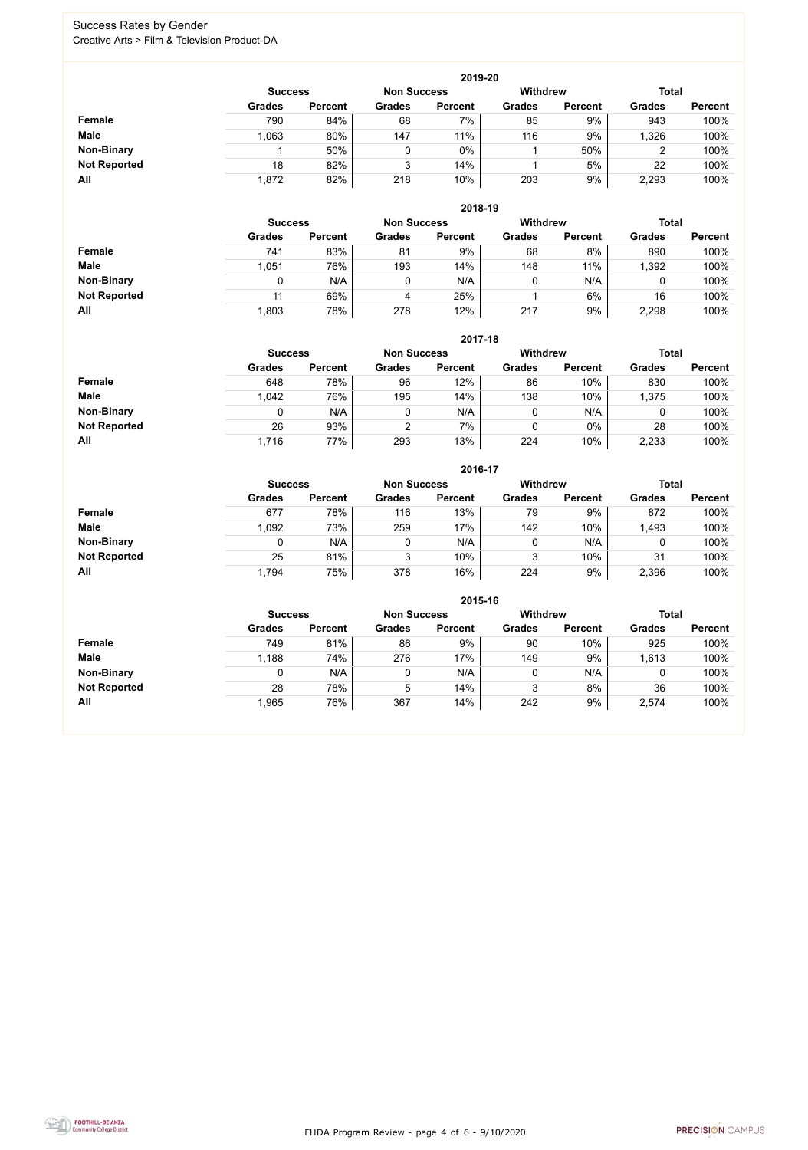FHDA Program Review - page 4 of 6 - 9/10/2020



#### Success Rates by Gender Creative Arts > Film & Television Product-DA

|                     |                | 2019-20        |                    |                |                 |                |               |                |  |  |  |  |  |
|---------------------|----------------|----------------|--------------------|----------------|-----------------|----------------|---------------|----------------|--|--|--|--|--|
|                     | <b>Success</b> |                | <b>Non Success</b> |                | <b>Withdrew</b> |                | <b>Total</b>  |                |  |  |  |  |  |
|                     | <b>Grades</b>  | <b>Percent</b> | <b>Grades</b>      | <b>Percent</b> | <b>Grades</b>   | <b>Percent</b> | <b>Grades</b> | <b>Percent</b> |  |  |  |  |  |
| Female              | 790            | 84%            | 68                 | 7%             | 85              | 9%             | 943           | 100%           |  |  |  |  |  |
| <b>Male</b>         | 1,063          | 80%            | 147                | 11%            | 116             | 9%             | 1,326         | 100%           |  |  |  |  |  |
| <b>Non-Binary</b>   |                | 50%            |                    | $0\%$          |                 | 50%            | 2             | 100%           |  |  |  |  |  |
| <b>Not Reported</b> | 18             | 82%            | 3                  | 14%            |                 | 5%             | 22            | 100%           |  |  |  |  |  |
| All                 | 1,872          | 82%            | 218                | 10%            | 203             | 9%             | 2,293         | 100%           |  |  |  |  |  |

|                     | 2018-19        |                |                    |                |                 |                |               |                |  |  |  |  |
|---------------------|----------------|----------------|--------------------|----------------|-----------------|----------------|---------------|----------------|--|--|--|--|
|                     | <b>Success</b> |                | <b>Non Success</b> |                | <b>Withdrew</b> |                | <b>Total</b>  |                |  |  |  |  |
|                     | <b>Grades</b>  | <b>Percent</b> | <b>Grades</b>      | <b>Percent</b> | <b>Grades</b>   | <b>Percent</b> | <b>Grades</b> | <b>Percent</b> |  |  |  |  |
| <b>Female</b>       | 741            | 83%            | 81                 | 9%             | 68              | 8%             | 890           | 100%           |  |  |  |  |
| <b>Male</b>         | 1,051          | 76%            | 193                | 14%            | 148             | 11%            | 1,392         | 100%           |  |  |  |  |
| <b>Non-Binary</b>   |                | N/A            | 0                  | N/A            | 0               | N/A            | 0             | 100%           |  |  |  |  |
| <b>Not Reported</b> |                | 69%            | 4                  | 25%            |                 | 6%             | 16            | 100%           |  |  |  |  |
| All                 | 1,803          | 78%            | 278                | 12%            | 217             | 9%             | 2,298         | 100%           |  |  |  |  |

|                     |                | 2017-18        |                    |                |                                 |                |               |                |  |  |  |  |  |
|---------------------|----------------|----------------|--------------------|----------------|---------------------------------|----------------|---------------|----------------|--|--|--|--|--|
|                     | <b>Success</b> |                | <b>Non Success</b> |                | <b>Withdrew</b><br><b>Total</b> |                |               |                |  |  |  |  |  |
|                     | <b>Grades</b>  | <b>Percent</b> | <b>Grades</b>      | <b>Percent</b> | <b>Grades</b>                   | <b>Percent</b> | <b>Grades</b> | <b>Percent</b> |  |  |  |  |  |
| <b>Female</b>       | 648            | 78%            | 96                 | 12%            | 86                              | 10%            | 830           | 100%           |  |  |  |  |  |
| <b>Male</b>         | 1,042          | 76%            | 195                | 14%            | 138                             | 10%            | .375          | 100%           |  |  |  |  |  |
| <b>Non-Binary</b>   | 0              | N/A            |                    | N/A            | 0                               | N/A            | υ             | 100%           |  |  |  |  |  |
| <b>Not Reported</b> | 26             | 93%            | 2                  | $7\%$          | 0                               | $0\%$          | 28            | 100%           |  |  |  |  |  |
| All                 | 1,716          | 77%            | 293                | 13%            | 224                             | 10%            | 2,233         | 100%           |  |  |  |  |  |

|                     |               |                |               |                | 2016-17                               |                |               |                |
|---------------------|---------------|----------------|---------------|----------------|---------------------------------------|----------------|---------------|----------------|
|                     |               | <b>Success</b> |               |                | <b>Withdrew</b><br><b>Non Success</b> |                | <b>Total</b>  |                |
|                     | <b>Grades</b> | <b>Percent</b> | <b>Grades</b> | <b>Percent</b> | <b>Grades</b>                         | <b>Percent</b> | <b>Grades</b> | <b>Percent</b> |
| <b>Female</b>       | 677           | 78%            | 116           | 13%            | 79                                    | 9%             | 872           | 100%           |
| <b>Male</b>         | 1,092         | 73%            | 259           | 17%            | 142                                   | 10%            | 1,493         | 100%           |
| <b>Non-Binary</b>   | 0             | N/A            |               | N/A            | 0                                     | N/A            |               | 100%           |
| <b>Not Reported</b> | 25            | 81%            | 3             | 10%            | 3                                     | 10%            | 31            | 100%           |
| All                 | 1,794         | 75%            | 378           | 16%            | 224                                   | 9%             | 2,396         | 100%           |

|                     |                |                    |               | 2015-16        |                                 |                |               |                |
|---------------------|----------------|--------------------|---------------|----------------|---------------------------------|----------------|---------------|----------------|
|                     | <b>Success</b> | <b>Non Success</b> |               |                | <b>Total</b><br><b>Withdrew</b> |                |               |                |
|                     | <b>Grades</b>  | <b>Percent</b>     | <b>Grades</b> | <b>Percent</b> | <b>Grades</b>                   | <b>Percent</b> | <b>Grades</b> | <b>Percent</b> |
| Female              | 749            | 81%                | 86            | 9%             | 90                              | 10%            | 925           | 100%           |
| <b>Male</b>         | 1,188          | 74%                | 276           | 17%            | 149                             | 9%             | 1,613         | 100%           |
| <b>Non-Binary</b>   |                | N/A                | 0             | N/A            |                                 | N/A            | 0             | 100%           |
| <b>Not Reported</b> | 28             | 78%                | 5             | 14%            |                                 | 8%             | 36            | 100%           |
| All                 | 1,965          | 76%                | 367           | 14%            | 242                             | 9%             | 2,574         | 100%           |

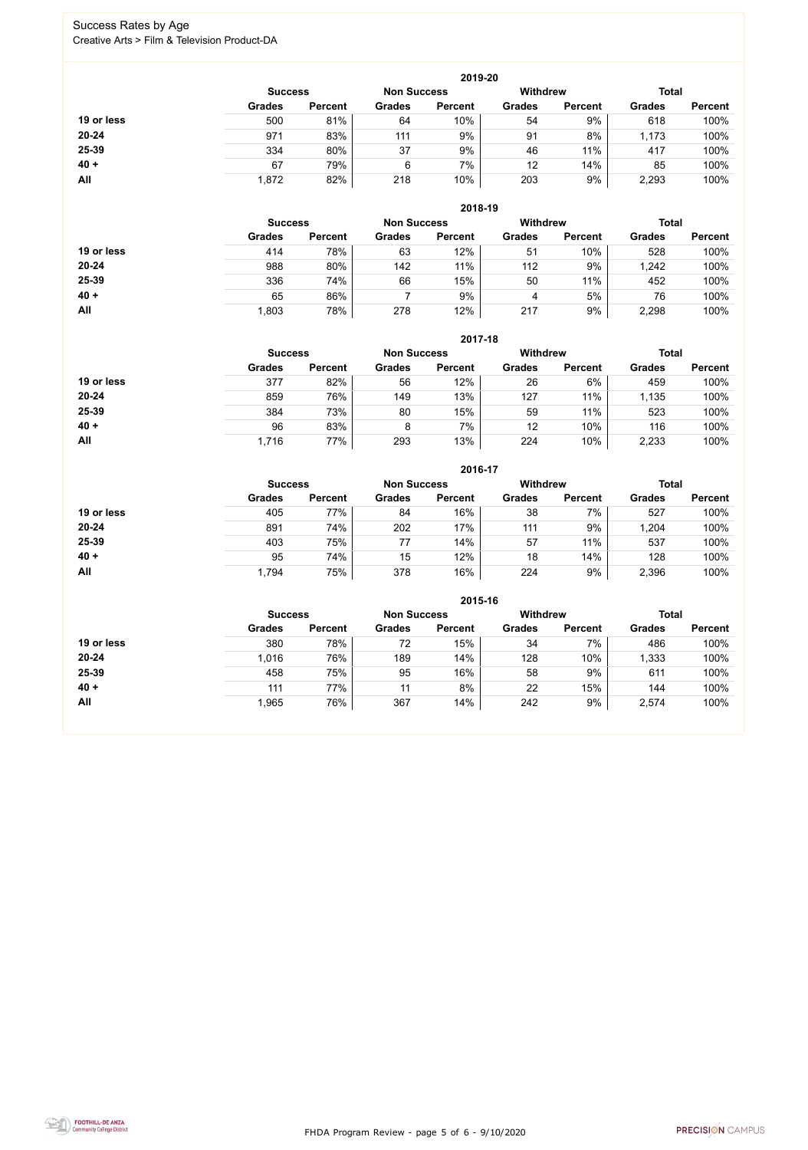FHDA Program Review - page 5 of 6 - 9/10/2020



#### Success Rates by Age Creative Arts > Film & Television Product-DA

|            |                |                    |               | 2019-20        |               |                |               |                |
|------------|----------------|--------------------|---------------|----------------|---------------|----------------|---------------|----------------|
|            | <b>Success</b> | <b>Non Success</b> |               | Withdrew       |               | <b>Total</b>   |               |                |
|            | <b>Grades</b>  | <b>Percent</b>     | <b>Grades</b> | <b>Percent</b> | <b>Grades</b> | <b>Percent</b> | <b>Grades</b> | <b>Percent</b> |
| 19 or less | 500            | 81%                | 64            | 10%            | 54            | 9%             | 618           | 100%           |
| $20 - 24$  | 971            | 83%                | 111           | 9%             | 91            | 8%             | 1,173         | 100%           |
| 25-39      | 334            | 80%                | 37            | 9%             | 46            | 11%            | 417           | 100%           |
| $40 +$     | 67             | 79%                | 6             | 7%             | 12            | 14%            | 85            | 100%           |
| All        | 1,872          | 82%                | 218           | 10%            | 203           | 9%             | 2,293         | 100%           |

|            |                |                    |               | 2018-19         |               |                |               |                |
|------------|----------------|--------------------|---------------|-----------------|---------------|----------------|---------------|----------------|
|            | <b>Success</b> | <b>Non Success</b> |               | <b>Withdrew</b> |               | <b>Total</b>   |               |                |
|            | <b>Grades</b>  | <b>Percent</b>     | <b>Grades</b> | <b>Percent</b>  | <b>Grades</b> | <b>Percent</b> | <b>Grades</b> | <b>Percent</b> |
| 19 or less | 414            | 78%                | 63            | 12%             | 51            | 10%            | 528           | 100%           |
| $20 - 24$  | 988            | 80%                | 142           | 11%             | 112           | 9%             | 1,242         | 100%           |
| 25-39      | 336            | 74%                | 66            | 15%             | 50            | 11%            | 452           | 100%           |
| $40 +$     | 65             | 86%                |               | 9%              | 4             | 5%             | 76            | 100%           |
| All        | 1,803          | 78%                | 278           | 12%             | 217           | 9%             | 2,298         | 100%           |

|            | 2017-18                              |                |               |                 |               |                |               |                |  |  |
|------------|--------------------------------------|----------------|---------------|-----------------|---------------|----------------|---------------|----------------|--|--|
|            | <b>Non Success</b><br><b>Success</b> |                |               | <b>Withdrew</b> |               | <b>Total</b>   |               |                |  |  |
|            | <b>Grades</b>                        | <b>Percent</b> | <b>Grades</b> | <b>Percent</b>  | <b>Grades</b> | <b>Percent</b> | <b>Grades</b> | <b>Percent</b> |  |  |
| 19 or less | 377                                  | 82%            | 56            | 12%             | 26            | 6%             | 459           | 100%           |  |  |
| $20 - 24$  | 859                                  | 76%            | 149           | 13%             | 127           | 11%            | 1,135         | 100%           |  |  |
| 25-39      | 384                                  | 73%            | 80            | 15%             | 59            | 11%            | 523           | 100%           |  |  |
| $40 +$     | 96                                   | 83%            | 8             | 7%              | 12            | 10%            | 116           | 100%           |  |  |
| All        | 1,716                                | 77%            | 293           | 13%             | 224           | 10%            | 2,233         | 100%           |  |  |

|            |                |                |                                       | 2016-17        |               |                |               |                |
|------------|----------------|----------------|---------------------------------------|----------------|---------------|----------------|---------------|----------------|
|            | <b>Success</b> |                | <b>Withdrew</b><br><b>Non Success</b> |                |               |                | <b>Total</b>  |                |
|            | <b>Grades</b>  | <b>Percent</b> | <b>Grades</b>                         | <b>Percent</b> | <b>Grades</b> | <b>Percent</b> | <b>Grades</b> | <b>Percent</b> |
| 19 or less | 405            | 77%            | 84                                    | 16%            | 38            | $7\%$          | 527           | 100%           |
| $20 - 24$  | 891            | 74%            | 202                                   | 17%            | 111           | 9%             | .204          | 100%           |
| 25-39      | 403            | 75%            | 77                                    | 14%            | 57            | 11%            | 537           | 100%           |
| $40 +$     | 95             | 74%            | 15                                    | 12%            | 18            | 14%            | 128           | 100%           |
| All        | 1,794          | 75%            | 378                                   | 16%            | 224           | 9%             | 2,396         | 100%           |

|            |                |                |               | 2015-16            |                 |                |               |                |  |
|------------|----------------|----------------|---------------|--------------------|-----------------|----------------|---------------|----------------|--|
|            | <b>Success</b> |                |               | <b>Non Success</b> | <b>Withdrew</b> |                |               | <b>Total</b>   |  |
|            | <b>Grades</b>  | <b>Percent</b> | <b>Grades</b> | <b>Percent</b>     | <b>Grades</b>   | <b>Percent</b> | <b>Grades</b> | <b>Percent</b> |  |
| 19 or less | 380            | 78%            | 72            | 15%                | 34              | 7%             | 486           | 100%           |  |
| 20-24      | 1,016          | 76%            | 189           | 14%                | 128             | 10%            | 1,333         | 100%           |  |
| 25-39      | 458            | 75%            | 95            | 16%                | 58              | 9%             | 611           | 100%           |  |
| $40 +$     | 111            | 77%            | 11            | 8%                 | 22              | 15%            | 144           | 100%           |  |
| All        | 1,965          | 76%            | 367           | 14%                | 242             | 9%             | 2,574         | 100%           |  |